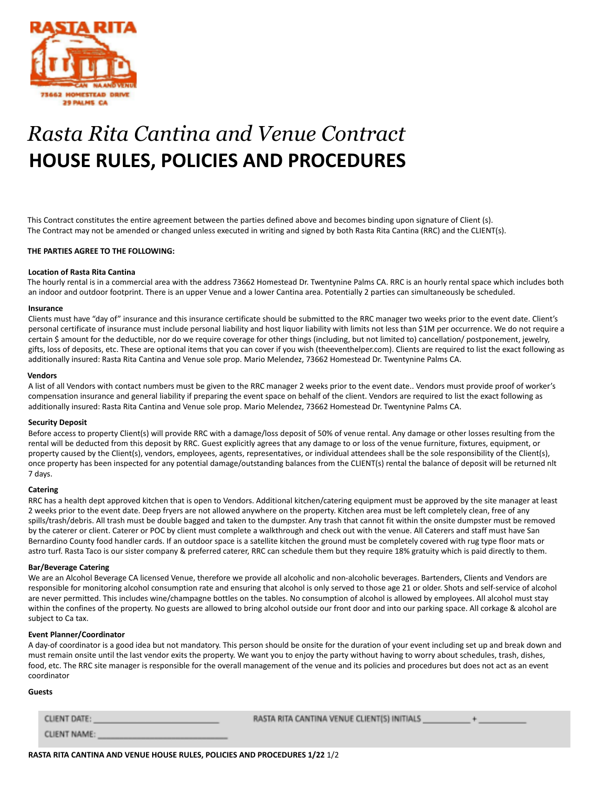

# *Rasta Rita Cantina and Venue Contract* **HOUSE RULES, POLICIES AND PROCEDURES**

This Contract constitutes the entire agreement between the parties defined above and becomes binding upon signature of Client (s). The Contract may not be amended or changed unless executed in writing and signed by both Rasta Rita Cantina (RRC) and the CLIENT(s).

#### **THE PARTIES AGREE TO THE FOLLOWING:**

#### **Location of Rasta Rita Cantina**

The hourly rental is in a commercial area with the address 73662 Homestead Dr. Twentynine Palms CA. RRC is an hourly rental space which includes both an indoor and outdoor footprint. There is an upper Venue and a lower Cantina area. Potentially 2 parties can simultaneously be scheduled.

#### **Insurance**

Clients must have "day of" insurance and this insurance certificate should be submitted to the RRC manager two weeks prior to the event date. Client's personal certificate of insurance must include personal liability and host liquor liability with limits not less than \$1M per occurrence. We do not require a certain \$ amount for the deductible, nor do we require coverage for other things (including, but not limited to) cancellation/ postponement, jewelry, gifts, loss of deposits, etc. These are optional items that you can cover if you wish (theeventhelper.com). Clients are required to list the exact following as additionally insured: Rasta Rita Cantina and Venue sole prop. Mario Melendez, 73662 Homestead Dr. Twentynine Palms CA.

#### **Vendors**

A list of all Vendors with contact numbers must be given to the RRC manager 2 weeks prior to the event date.. Vendors must provide proof of worker's compensation insurance and general liability if preparing the event space on behalf of the client. Vendors are required to list the exact following as additionally insured: Rasta Rita Cantina and Venue sole prop. Mario Melendez, 73662 Homestead Dr. Twentynine Palms CA.

#### **Security Deposit**

Before access to property Client(s) will provide RRC with a damage/loss deposit of 50% of venue rental. Any damage or other losses resulting from the rental will be deducted from this deposit by RRC. Guest explicitly agrees that any damage to or loss of the venue furniture, fixtures, equipment, or property caused by the Client(s), vendors, employees, agents, representatives, or individual attendees shall be the sole responsibility of the Client(s), once property has been inspected for any potential damage/outstanding balances from the CLIENT(s) rental the balance of deposit will be returned nlt 7 days.

#### **Catering**

RRC has a health dept approved kitchen that is open to Vendors. Additional kitchen/catering equipment must be approved by the site manager at least 2 weeks prior to the event date. Deep fryers are not allowed anywhere on the property. Kitchen area must be left completely clean, free of any spills/trash/debris. All trash must be double bagged and taken to the dumpster. Any trash that cannot fit within the onsite dumpster must be removed by the caterer or client. Caterer or POC by client must complete a walkthrough and check out with the venue. All Caterers and staff must have San Bernardino County food handler cards. If an outdoor space is a satellite kitchen the ground must be completely covered with rug type floor mats or astro turf. Rasta Taco is our sister company & preferred caterer, RRC can schedule them but they require 18% gratuity which is paid directly to them.

#### **Bar/Beverage Catering**

We are an Alcohol Beverage CA licensed Venue, therefore we provide all alcoholic and non-alcoholic beverages. Bartenders, Clients and Vendors are responsible for monitoring alcohol consumption rate and ensuring that alcohol is only served to those age 21 or older. Shots and self-service of alcohol are never permitted. This includes wine/champagne bottles on the tables. No consumption of alcohol is allowed by employees. All alcohol must stay within the confines of the property. No guests are allowed to bring alcohol outside our front door and into our parking space. All corkage & alcohol are subject to Ca tax.

#### **Event Planner/Coordinator**

A day-of coordinator is a good idea but not mandatory. This person should be onsite for the duration of your event including set up and break down and must remain onsite until the last vendor exits the property. We want you to enjoy the party without having to worry about schedules, trash, dishes, food, etc. The RRC site manager is responsible for the overall management of the venue and its policies and procedures but does not act as an event coordinator

#### **Guests**

CLIENT DATE: CLIENT NAME: RASTA RITA CANTINA VENUE CLIENT(S) INITIALS

**RASTA RITA CANTINA AND VENUE HOUSE RULES, POLICIES AND PROCEDURES 1/22** 1/2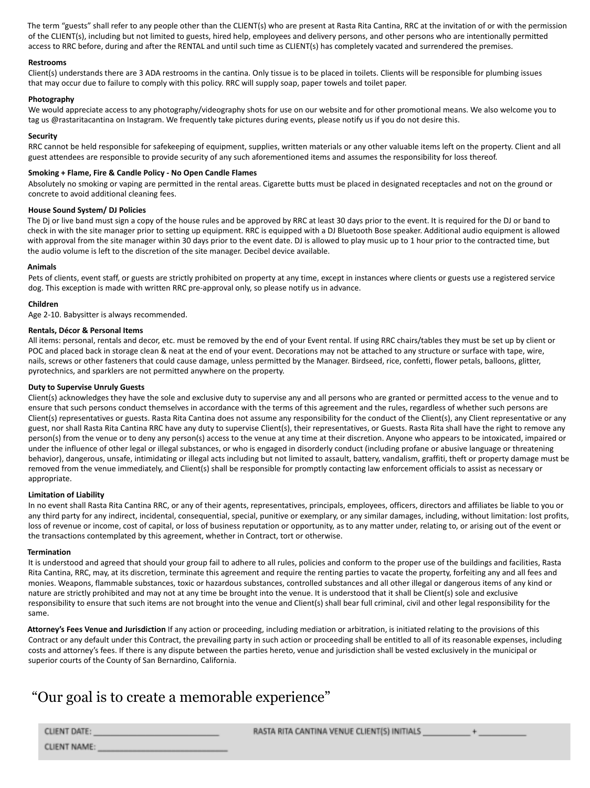The term "guests" shall refer to any people other than the CLIENT(s) who are present at Rasta Rita Cantina, RRC at the invitation of or with the permission of the CLIENT(s), including but not limited to guests, hired help, employees and delivery persons, and other persons who are intentionally permitted access to RRC before, during and after the RENTAL and until such time as CLIENT(s) has completely vacated and surrendered the premises.

# **Restrooms**

Client(s) understands there are 3 ADA restrooms in the cantina. Only tissue is to be placed in toilets. Clients will be responsible for plumbing issues that may occur due to failure to comply with this policy. RRC will supply soap, paper towels and toilet paper.

# **Photography**

We would appreciate access to any photography/videography shots for use on our website and for other promotional means. We also welcome you to tag us @rastaritacantina on Instagram. We frequently take pictures during events, please notify us if you do not desire this.

# **Security**

RRC cannot be held responsible for safekeeping of equipment, supplies, written materials or any other valuable items left on the property. Client and all guest attendees are responsible to provide security of any such aforementioned items and assumes the responsibility for loss thereof.

# **Smoking + Flame, Fire & Candle Policy - No Open Candle Flames**

Absolutely no smoking or vaping are permitted in the rental areas. Cigarette butts must be placed in designated receptacles and not on the ground or concrete to avoid additional cleaning fees.

#### **House Sound System/ DJ Policies**

The Dj or live band must sign a copy of the house rules and be approved by RRC at least 30 days prior to the event. It is required for the DJ or band to check in with the site manager prior to setting up equipment. RRC is equipped with a DJ Bluetooth Bose speaker. Additional audio equipment is allowed with approval from the site manager within 30 days prior to the event date. DJ is allowed to play music up to 1 hour prior to the contracted time, but the audio volume is left to the discretion of the site manager. Decibel device available.

# **Animals**

Pets of clients, event staff, or guests are strictly prohibited on property at any time, except in instances where clients or guests use a registered service dog. This exception is made with written RRC pre-approval only, so please notify us in advance.

# **Children**

Age 2-10. Babysitter is always recommended.

# **Rentals, Décor & Personal Items**

All items: personal, rentals and decor, etc. must be removed by the end of your Event rental. If using RRC chairs/tables they must be set up by client or POC and placed back in storage clean & neat at the end of your event. Decorations may not be attached to any structure or surface with tape, wire, nails, screws or other fasteners that could cause damage, unless permitted by the Manager. Birdseed, rice, confetti, flower petals, balloons, glitter, pyrotechnics, and sparklers are not permitted anywhere on the property.

# **Duty to Supervise Unruly Guests**

Client(s) acknowledges they have the sole and exclusive duty to supervise any and all persons who are granted or permitted access to the venue and to ensure that such persons conduct themselves in accordance with the terms of this agreement and the rules, regardless of whether such persons are Client(s) representatives or guests. Rasta Rita Cantina does not assume any responsibility for the conduct of the Client(s), any Client representative or any guest, nor shall Rasta Rita Cantina RRC have any duty to supervise Client(s), their representatives, or Guests. Rasta Rita shall have the right to remove any person(s) from the venue or to deny any person(s) access to the venue at any time at their discretion. Anyone who appears to be intoxicated, impaired or under the influence of other legal or illegal substances, or who is engaged in disorderly conduct (including profane or abusive language or threatening behavior), dangerous, unsafe, intimidating or illegal acts including but not limited to assault, battery, vandalism, graffiti, theft or property damage must be removed from the venue immediately, and Client(s) shall be responsible for promptly contacting law enforcement officials to assist as necessary or appropriate.

#### **Limitation of Liability**

In no event shall Rasta Rita Cantina RRC, or any of their agents, representatives, principals, employees, officers, directors and affiliates be liable to you or any third party for any indirect, incidental, consequential, special, punitive or exemplary, or any similar damages, including, without limitation: lost profits, loss of revenue or income, cost of capital, or loss of business reputation or opportunity, as to any matter under, relating to, or arising out of the event or the transactions contemplated by this agreement, whether in Contract, tort or otherwise.

#### **Termination**

It is understood and agreed that should your group fail to adhere to all rules, policies and conform to the proper use of the buildings and facilities, Rasta Rita Cantina, RRC, may, at its discretion, terminate this agreement and require the renting parties to vacate the property, forfeiting any and all fees and monies. Weapons, flammable substances, toxic or hazardous substances, controlled substances and all other illegal or dangerous items of any kind or nature are strictly prohibited and may not at any time be brought into the venue. It is understood that it shall be Client(s) sole and exclusive responsibility to ensure that such items are not brought into the venue and Client(s) shall bear full criminal, civil and other legal responsibility for the same.

**Attorney's Fees Venue and Jurisdiction** If any action or proceeding, including mediation or arbitration, is initiated relating to the provisions of this Contract or any default under this Contract, the prevailing party in such action or proceeding shall be entitled to all of its reasonable expenses, including costs and attorney's fees. If there is any dispute between the parties hereto, venue and jurisdiction shall be vested exclusively in the municipal or superior courts of the County of San Bernardino, California.

# "Our goal is to create a memorable experience"

RASTA RITA CANTINA VENUE CLIENT(S) INITIALS

CLIENT DATE:

CLIENT NAME: